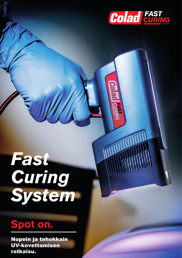

# *Fast*  **Curing** *System*

# **Spot on.**

Nopein ja tehokkain UV-kovettamisen ratkaisu.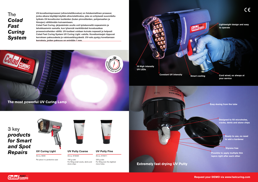

**Easy dosing from the tube**

**Designed to fill microholes, cracks, dents and stone chips**

> **Ready to use, no need to add a hardener**

**18 High intensity** 

1909

**UV LEDs**

**Constant UV intensity Smart cooling**

WWW.colad.co

**Lightweight design and easy to operate**

**Cord wired, so always at your service** 

190 g tube For filling small cracks, dents and stone chips



#### **UV Putty Coarse**

Art.no. 915020

Per piece in a protective case



#### **UV Curing Light**

Art.no. 9000

220 g tube For filling even the slightest micro-holes

**UV Putty Fine**

Art.no. 915011

**Request your DEMO via www.fastcuring.com**

**Possible to apply multiple thin layers right after each other Styrene free**

**UV-kovettumisprosessi (ultraviolettikovetus) on fotokemiallinen prosessi, jonka aikana käyttäjä käyttää ultraviolettivaloa, joka on erityisesti suunniteltu työkalu UV-kovettuvien tuotteiden (kuten pinnoitteiden, pohjamaalien ja liimojen) välittömään kuivaamiseen. Colad Fast Curing -järjestelmän avulla voit työskennellä nopeammin ja** 

**tehokkaammin samalla, kun lyhennät merkittävästi kovetusaikaa prosessivaiheiden välillä. UV-tuotteet voidaan kuivata nopeasti ja helposti Colad Fast Curing System UV Curing Light -valolla. Kovettumisajat riippuvat kerroksen paksuudesta ja valotusetäisyydestä. UV-valo pystyy kovettamaan kerroksia, joiden paksuus on enintään 1 mm.** 

# 3 key *products for Smart and Spot Repairs*



### **Extremely fast drying UV Putty**





# The *Colad Fast Curing System*

**The most powerful UV Curing Lamp**